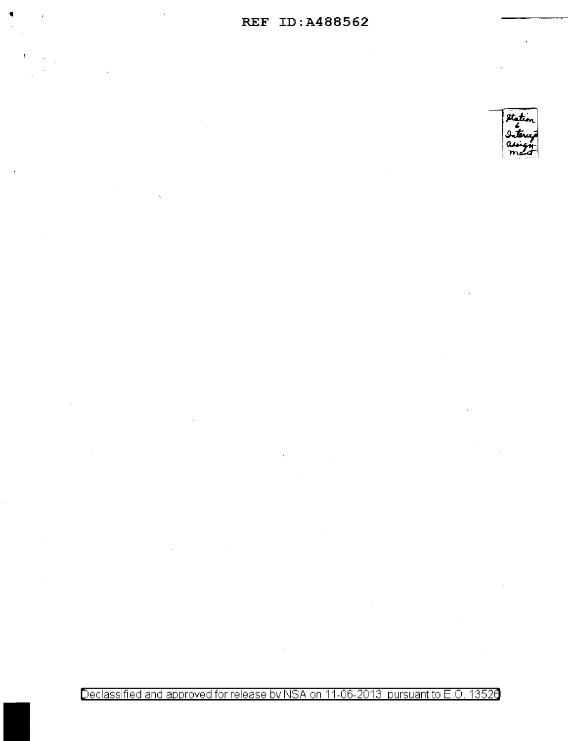$\sim 10^7$ 

 $\bullet$ 

 $\bar{1}$ 



Declassified and approved for release by NSA on 11-06-2013 pursuant to E.O. 13520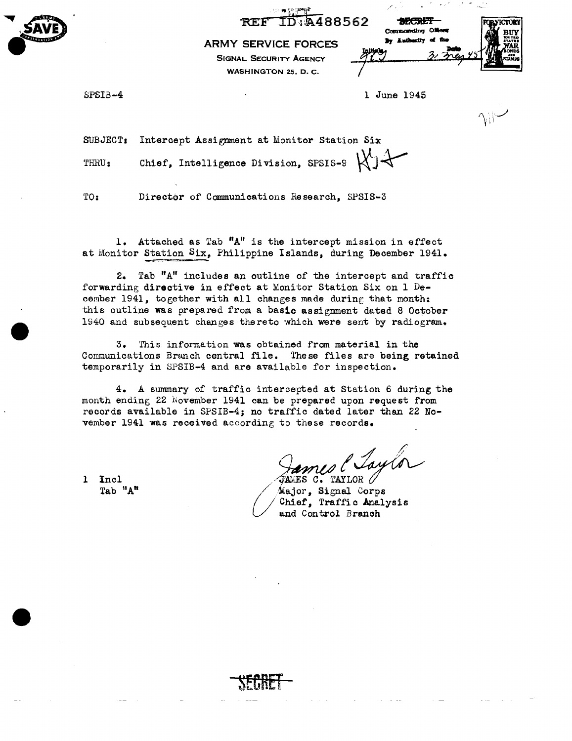48856 **REF** TD D

**ARMY SERVICE FORCES**  SIGNAL SECURITY AGENCY WASHINGTON 25, D. c.

| h.     | 先天开                 |  | <b>LVICTORY</b> |  |  |  |
|--------|---------------------|--|-----------------|--|--|--|
|        | Commonding Officer  |  |                 |  |  |  |
|        | By Authentty of the |  |                 |  |  |  |
| initic |                     |  |                 |  |  |  |
|        |                     |  |                 |  |  |  |

SPSIB-4

...... e· , **AVE** 

-SAVE)

1 June 1945

/,

SUBJECT: Intercept Assignment at Monitor Station Six THRU: Chief, Intelligence Division, SPSIS-9  $\mathcal{H}$  +

TO: Director of Communications Research, SPSIS-3

1. Attached as Tab **"A"** is the intercept mission in effect at Monitor Station Six, Philippine Islands, during December 1941.

2. Tab "A" includes an outline of the intercept and traffic forwarding directive in effect at Monitor Station Six on 1 December 1941, together with all changes made during that month: this outline was prepared from a basic assignment dated 8 October 1940 and subsequent changes thereto which were sent by radiogram.

3. This information was obtained from material in the Communications Branch central file. These files are being retained temporarily in SPSIB-4 and are available for inspection.

4. A summary of traffic intercepted at Station 6 during the month ending 22 November 1941 can be prepared upon request from records available in SPSIB-4; no traffic dated later than 22 November 1941 was received according to these records.

James & *Jaylo* 

Major, Signal Corps Chief, Traffic Analysis and Control Branch

l Incl Tab "A"

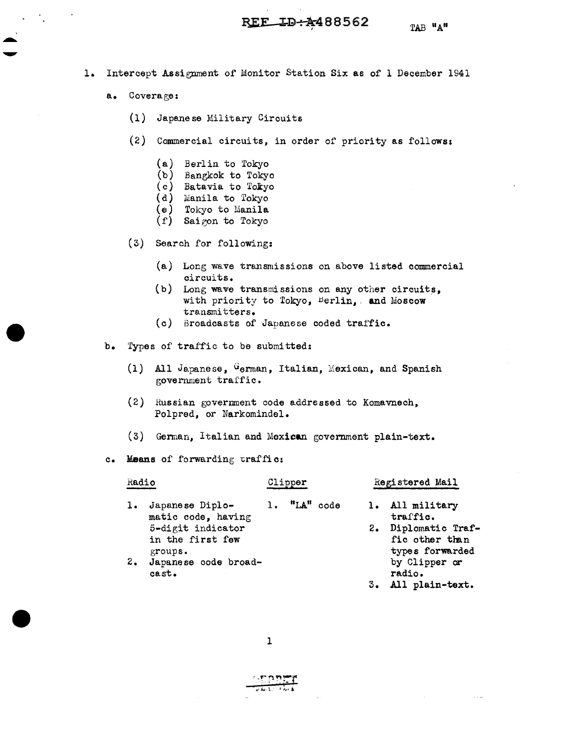- TAB "A"
	- a. Coverage:
		- (1) Japanese Military Circuits
		- (2) Commercial circuits, in order of priority as followsi
			- (a) Berlin to Tokyo
			- (b) Bangkok to Tokyo
			- (c) Batavia to Tokyo
			- (d) Manila to Tokyo
			- (e) Tokyo to Manila
			- $(f)$  Saigon to Tokyo
		- (3) Search for following:
			- (a) Long wave transmissions on above listed commercial circuits.
			- (b) Long wave transmissions on any other circuits, with priority to Tokyo,  $Berlin$ , and Moscow transmitters.
			- (c) Broadcasts of Japanese coded trai'fic.
	- b. 1'ypes of traffic to be submitted:
		- (1) All Japanese,  $G_{\text{erman}}$ , Italian, Mexican, and Spanish government traffic.
		- $(2)$  Russian government code addressed to Komavnech, Polpred, or Narkomindel.
		- (3) German, Italian and Mexican government plain-text.
	- c. Means of forwarding traffic:

| Radio |                                                                                           | Clipper |              | Registered Mail                                                                         |  |
|-------|-------------------------------------------------------------------------------------------|---------|--------------|-----------------------------------------------------------------------------------------|--|
|       | Japanese Diplo-<br>matic code, having<br>5-digit indicator<br>in the first few<br>groups. |         | 1. "LA" code | 1. All military<br>traffic.<br>2. Diplomatic Traf-<br>fic other than<br>types forwarded |  |
| 2.    | Japanese code broad-<br>cast.                                                             |         |              | by Clipper or<br>radio.                                                                 |  |

3. All plain-text.

 $\mathbf{1}$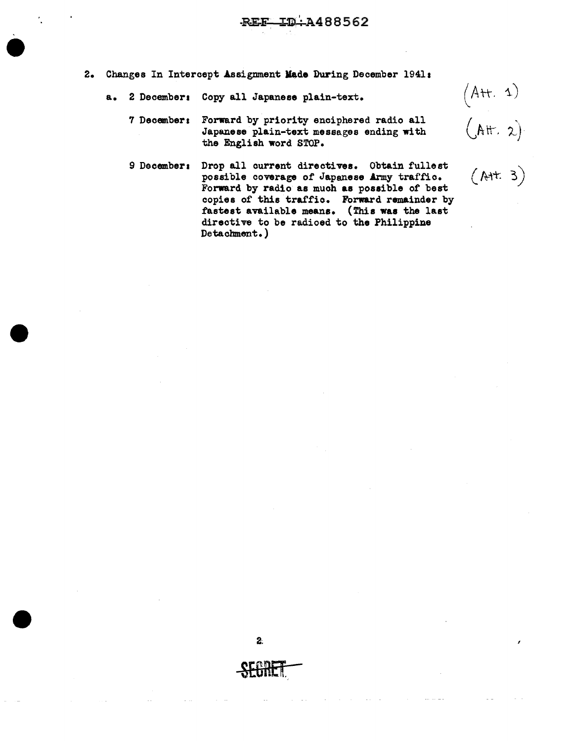- 2. Changes In Intercept Assignment **kde** During December 1941 s
	- a. 2 Decembers Copy all Japanese plain-text.

2 December: Copy all Japanese plain-text.  $(A^+ + A)$ <br>
7 December: Forward by priority enciphered radio all Japanese plain-text messages ending with  $(A^+ + A)$ Japanese plain-text messages ending with the English word STOP.

9 December: Drop all current directives. Obtain fullest  $\left(\wedge + \frac{3}{2}\right)$ possible coverage of Japanese Army traffic. Forward by radio as much **as** possible of' best copies of this traffic. Forward remainder by fastest available means. (This **was** the last directive to be radioed to the Philippine Detachment.)

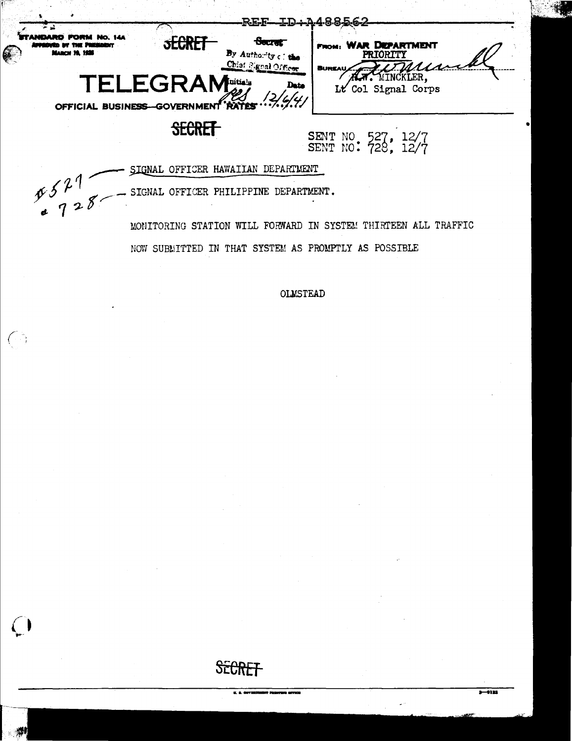

. SIGNAL OFFICER PHILIPPINE DEPARTMENT.

 $\sqrt{2}$ 

 $\bigcap$ 

MONITORING STATION WILL FORWARD IN SYSTEM THIRTEEN ALL TRAFFIC NOW SUBLITTED IN THAT SYSTEM AS PROMPTLY AS POSSIBLE

**OLMSTEAD** 

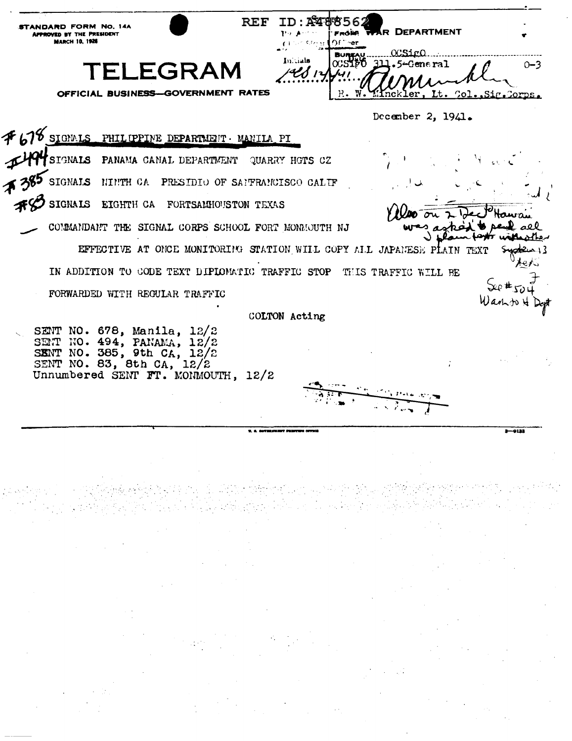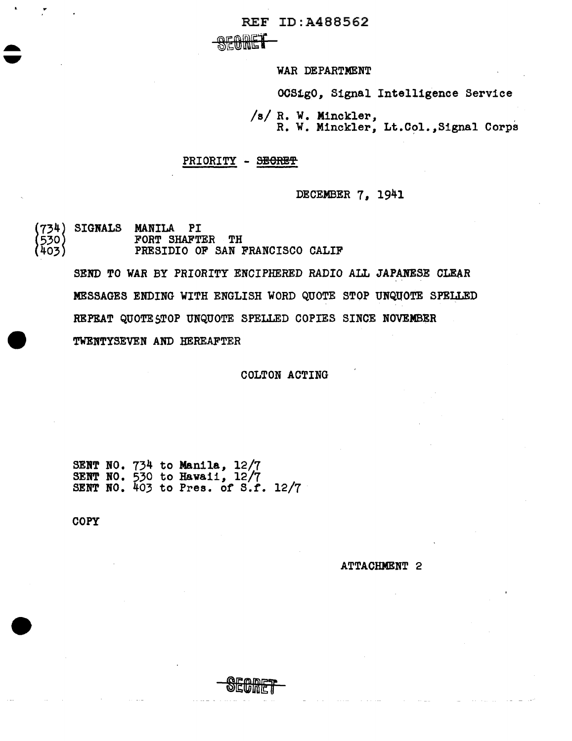REF ID:A488562

 $*$   $*$   $*$ 

WAR DEPARTMENT

OC81g0, Signal Intelligence Service

/s/ R. w. Minckler, R. w. Minckler, Lt.Col.,Signal Corps

## PRIORITY - SECRET

DECEMBER 7, 1941

(734) SIGNALS MANILA PI<br>(530) FORT SHAFTER TH<br>(403) PRESIDIO OF SAN D 734l SIGNALS MANILA PI 403) PRESIDIO OF SAN FRANCISCO CALIF

> SEND TO WAR BY PRIORITY ENCIPHERED RADIO ALL JAPANESE CLEAR MESSAGES ENDING WITH ENGLISH WORD QUOTE STOP UNQUOTE SPELLED REPEAT QUOTE \$TOP UNQUOTE SPELLED COPIES SINCE NOVEMBER TWENTYSEVEN AND HEREAFTER

> > COLTON ACTING

SENT NO. 734 to Manila, 12/7 SENT HO. 530 to Hawaii, 12/7 SENT NO.  $403$  to Pres. of S.f. 12/7

**COPY** 

ATTACHMENT 2

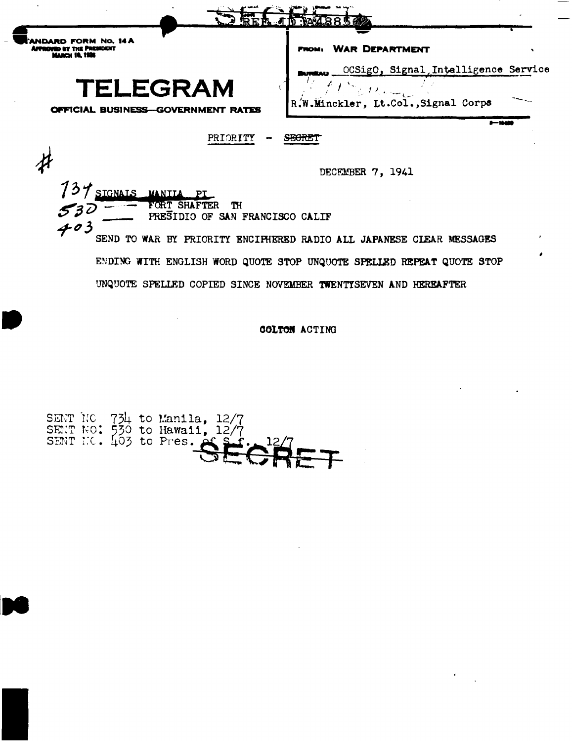|                                                                                | <b><i><b>AR8562</b></i></b>                                                                                                                   |
|--------------------------------------------------------------------------------|-----------------------------------------------------------------------------------------------------------------------------------------------|
|                                                                                | <b>WAR DEPARTMENT</b><br><b>FROM:</b>                                                                                                         |
| TELEGRAM<br>OFFICIAL BUSINESS-GOVERNMENT RATES                                 | OCSigO, Signal Intalligence Service<br>R.W.Minckler, Lt.Col., Signal Corps                                                                    |
| PRIORITY                                                                       | S <del>ECRE</del>                                                                                                                             |
|                                                                                | DECEMBER 7, 1941                                                                                                                              |
| SIGNALS MANILA<br>FORT SHAFTER<br>TН<br>PRESIDIO OF SAN FRANCISCO CALIF<br>403 |                                                                                                                                               |
|                                                                                | SEND TO WAR BY PRIORITY ENCIPHERED RADIO ALL JAPANESE CLEAR MESSAGES<br>ENDING WITH ENGLISH WORD QUOTE STOP UNQUOTE SPELLED REPEAT QUOTE STOP |
|                                                                                | UNQUOTE SPELLED COPIED SINCE NOVEMBER TWENTISEVEN AND HEREAFTER                                                                               |

COLTON ACTING

 $\sim$   $\sim$ 

 $\sim 10^{11}$ 

 $\mathcal{F}_{\text{max}}$ 

 $\sim 10^{-10}$  km s  $^{-1}$ 



 $\sim 10^{-11}$ 

 $\overline{\phantom{a}}$